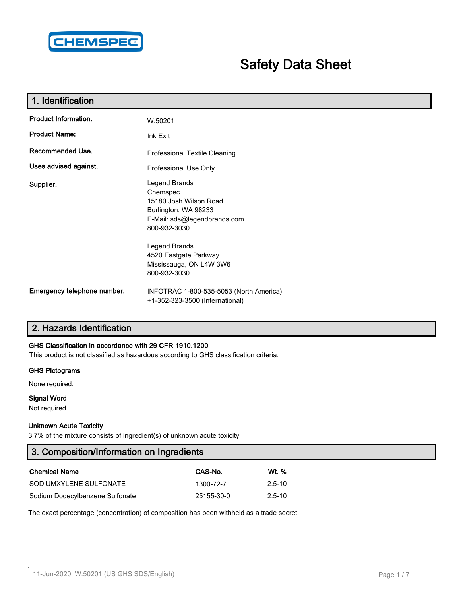

# **Safety Data Sheet**

| 1. Identification           |                                                                                                                             |
|-----------------------------|-----------------------------------------------------------------------------------------------------------------------------|
| Product Information.        | W.50201                                                                                                                     |
| <b>Product Name:</b>        | Ink Exit                                                                                                                    |
| Recommended Use.            | Professional Textile Cleaning                                                                                               |
| Uses advised against.       | Professional Use Only                                                                                                       |
| Supplier.                   | Legend Brands<br>Chemspec<br>15180 Josh Wilson Road<br>Burlington, WA 98233<br>E-Mail: sds@legendbrands.com<br>800-932-3030 |
|                             | Legend Brands<br>4520 Eastgate Parkway<br>Mississauga, ON L4W 3W6<br>800-932-3030                                           |
| Emergency telephone number. | INFOTRAC 1-800-535-5053 (North America)<br>+1-352-323-3500 (International)                                                  |

# **2. Hazards Identification**

### **GHS Classification in accordance with 29 CFR 1910.1200**

This product is not classified as hazardous according to GHS classification criteria.

#### **GHS Pictograms**

None required.

### **Signal Word**

Not required.

#### **Unknown Acute Toxicity**

3.7% of the mixture consists of ingredient(s) of unknown acute toxicity

| 3. Composition/Information on Ingredients |            |              |  |  |  |
|-------------------------------------------|------------|--------------|--|--|--|
| <b>Chemical Name</b>                      | CAS-No.    | <u>Wt. %</u> |  |  |  |
| SODIUMXYLENE SULFONATE                    | 1300-72-7  | $2.5 - 10$   |  |  |  |
| Sodium Dodecylbenzene Sulfonate           | 25155-30-0 | $2.5 - 10$   |  |  |  |

The exact percentage (concentration) of composition has been withheld as a trade secret.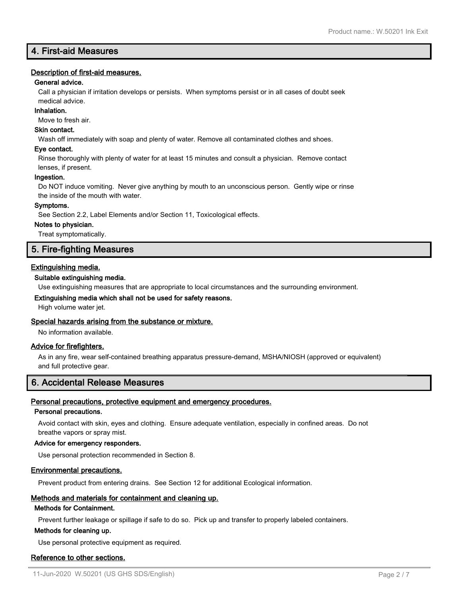# **4. First-aid Measures**

### **Description of first-aid measures.**

### **General advice.**

Call a physician if irritation develops or persists. When symptoms persist or in all cases of doubt seek medical advice.

#### **Inhalation.**

Move to fresh air.

### **Skin contact.**

Wash off immediately with soap and plenty of water. Remove all contaminated clothes and shoes.

#### **Eye contact.**

Rinse thoroughly with plenty of water for at least 15 minutes and consult a physician. Remove contact lenses, if present.

#### **Ingestion.**

Do NOT induce vomiting. Never give anything by mouth to an unconscious person. Gently wipe or rinse the inside of the mouth with water.

#### **Symptoms.**

See Section 2.2, Label Elements and/or Section 11, Toxicological effects.

#### **Notes to physician.**

Treat symptomatically.

### **5. Fire-fighting Measures**

### **Extinguishing media.**

### **Suitable extinguishing media.**

Use extinguishing measures that are appropriate to local circumstances and the surrounding environment.

#### **Extinguishing media which shall not be used for safety reasons.**

High volume water jet.

### **Special hazards arising from the substance or mixture.**

No information available.

### **Advice for firefighters.**

As in any fire, wear self-contained breathing apparatus pressure-demand, MSHA/NIOSH (approved or equivalent) and full protective gear.

### **6. Accidental Release Measures**

### **Personal precautions, protective equipment and emergency procedures.**

#### **Personal precautions.**

Avoid contact with skin, eyes and clothing. Ensure adequate ventilation, especially in confined areas. Do not breathe vapors or spray mist.

### **Advice for emergency responders.**

Use personal protection recommended in Section 8.

### **Environmental precautions.**

Prevent product from entering drains. See Section 12 for additional Ecological information.

### **Methods and materials for containment and cleaning up.**

#### **Methods for Containment.**

Prevent further leakage or spillage if safe to do so. Pick up and transfer to properly labeled containers.

#### **Methods for cleaning up.**

Use personal protective equipment as required.

### **Reference to other sections.**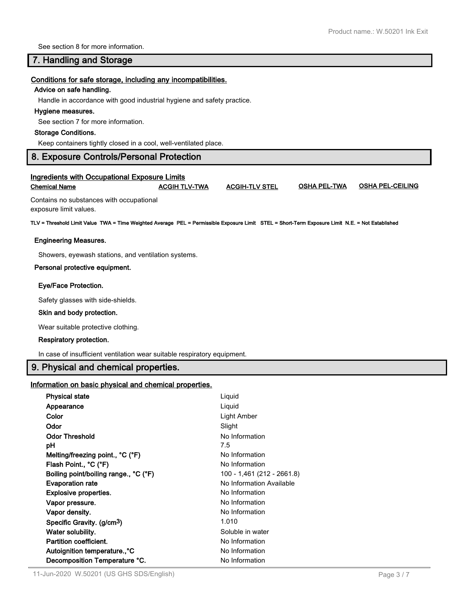See section 8 for more information.

### **7. Handling and Storage**

#### **Conditions for safe storage, including any incompatibilities.**

#### **Advice on safe handling.**

Handle in accordance with good industrial hygiene and safety practice.

#### **Hygiene measures.**

See section 7 for more information.

#### **Storage Conditions.**

Keep containers tightly closed in a cool, well-ventilated place.

### **8. Exposure Controls/Personal Protection**

|               | <b>Ingredients with Occupational Exposure Limits</b> |
|---------------|------------------------------------------------------|
| Chemical Name | <b>ACGIH TLV-</b>                                    |

**Chemical Name ACGIH TLV-TWA ACGIH-TLV STEL OSHA PEL-TWA OSHA PEL-CEILING**

Contains no substances with occupational exposure limit values.

**TLV = Threshold Limit Value TWA = Time Weighted Average PEL = Permissible Exposure Limit STEL = Short-Term Exposure Limit N.E. = Not Established**

#### **Engineering Measures.**

Showers, eyewash stations, and ventilation systems.

#### **Personal protective equipment.**

#### **Eye/Face Protection.**

Safety glasses with side-shields.

#### **Skin and body protection.**

Wear suitable protective clothing.

#### **Respiratory protection.**

In case of insufficient ventilation wear suitable respiratory equipment.

### **9. Physical and chemical properties.**

### **Information on basic physical and chemical properties.**

| <b>Physical state</b>                  | Liquid                     |
|----------------------------------------|----------------------------|
| Appearance                             | Liquid                     |
| Color                                  | Light Amber                |
| Odor                                   | Slight                     |
| <b>Odor Threshold</b>                  | No Information             |
| рH                                     | 7.5                        |
| Melting/freezing point., °C (°F)       | No Information             |
| Flash Point., °C (°F)                  | No Information             |
| Boiling point/boiling range., °C (°F)  | 100 - 1,461 (212 - 2661.8) |
| <b>Evaporation rate</b>                | No Information Available   |
| <b>Explosive properties.</b>           | No Information             |
| Vapor pressure.                        | No Information             |
| Vapor density.                         |                            |
|                                        | No Information             |
| Specific Gravity. (g/cm <sup>3</sup> ) | 1.010                      |
| Water solubility.                      | Soluble in water           |
| Partition coefficient.                 | No Information             |
| Autoignition temperature°C             | No Information             |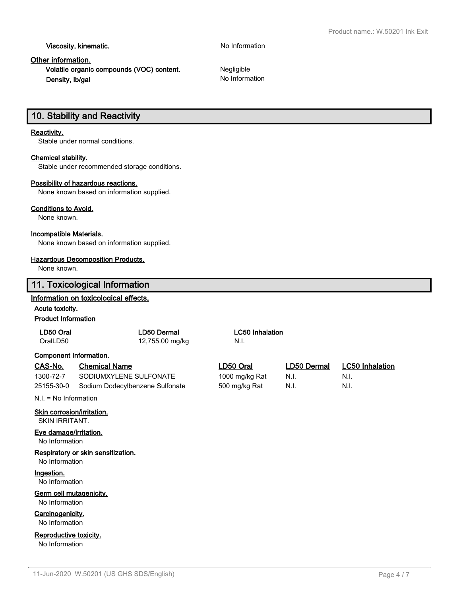**Viscosity, kinematic.** No Information

### **Other information.**

**Volatile organic compounds (VOC) content.** Negligible **Density, Ib/gal No Information No Information** 

# **10. Stability and Reactivity**

### **Reactivity.**

Stable under normal conditions.

### **Chemical stability.**

Stable under recommended storage conditions.

#### **Possibility of hazardous reactions.**

None known based on information supplied.

#### **Conditions to Avoid.**

None known.

### **Incompatible Materials.**

None known based on information supplied.

### **Hazardous Decomposition Products.**

None known.

|                                                     | 11. Toxicological Information         |                        |             |                        |  |
|-----------------------------------------------------|---------------------------------------|------------------------|-------------|------------------------|--|
|                                                     | Information on toxicological effects. |                        |             |                        |  |
| Acute toxicity.                                     |                                       |                        |             |                        |  |
| <b>Product Information</b>                          |                                       |                        |             |                        |  |
| LD50 Oral                                           | LD50 Dermal                           | <b>LC50 Inhalation</b> |             |                        |  |
| OralLD50                                            | 12,755.00 mg/kg                       | N.I.                   |             |                        |  |
| Component Information.                              |                                       |                        |             |                        |  |
| CAS-No.                                             | <b>Chemical Name</b>                  | LD50 Oral              | LD50 Dermal | <b>LC50 Inhalation</b> |  |
| 1300-72-7                                           | SODIUMXYLENE SULFONATE                | 1000 mg/kg Rat         | N.I.        | N.I.                   |  |
| 25155-30-0                                          | Sodium Dodecylbenzene Sulfonate       | 500 mg/kg Rat          | N.I.        | N.I.                   |  |
| $N.I. = No Information$                             |                                       |                        |             |                        |  |
| Skin corrosion/irritation.<br><b>SKIN IRRITANT.</b> |                                       |                        |             |                        |  |
| Eye damage/irritation.<br>No Information            |                                       |                        |             |                        |  |
| No Information                                      | Respiratory or skin sensitization.    |                        |             |                        |  |
| Ingestion.<br>No Information                        |                                       |                        |             |                        |  |
| Germ cell mutagenicity.<br>No Information           |                                       |                        |             |                        |  |
| Carcinogenicity.<br>No Information                  |                                       |                        |             |                        |  |
| Reproductive toxicity.<br>No Information            |                                       |                        |             |                        |  |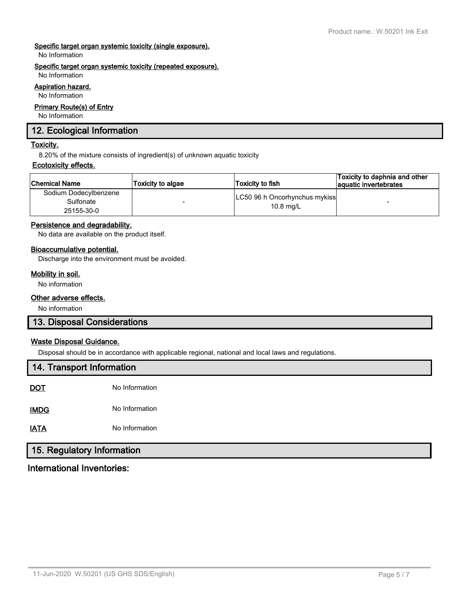### **Specific target organ systemic toxicity (single exposure).**

No Information

### **Specific target organ systemic toxicity (repeated exposure).**

No Information

### **Aspiration hazard.**

No Information

#### **Primary Route(s) of Entry**

No Information

### **12. Ecological Information**

### **Toxicity.**

8.20% of the mixture consists of ingredient(s) of unknown aquatic toxicity

### **Ecotoxicity effects.**

| ∣Chemical Name                                   | <b>Toxicity to algae</b> | Toxicity to fish                             | Toxicity to daphnia and other<br>aquatic invertebrates |
|--------------------------------------------------|--------------------------|----------------------------------------------|--------------------------------------------------------|
| Sodium Dodecylbenzene<br>Sulfonate<br>25155-30-0 | $\overline{\phantom{a}}$ | LC50 96 h Oncorhynchus mykiss<br>$10.8$ mg/L | $\overline{\phantom{a}}$                               |

### **Persistence and degradability.**

No data are available on the product itself.

### **Bioaccumulative potential.**

Discharge into the environment must be avoided.

### **Mobility in soil.**

No information

### **Other adverse effects.**

No information

### **13. Disposal Considerations**

### **Waste Disposal Guidance.**

Disposal should be in accordance with applicable regional, national and local laws and regulations.

| 14. Transport Information |                |  |  |  |
|---------------------------|----------------|--|--|--|
| <b>DOT</b>                | No Information |  |  |  |
| <b>IMDG</b>               | No Information |  |  |  |
| <b>IATA</b>               | No Information |  |  |  |
| 15 Deculates Information  |                |  |  |  |

# **15. Regulatory Information**

**International Inventories:**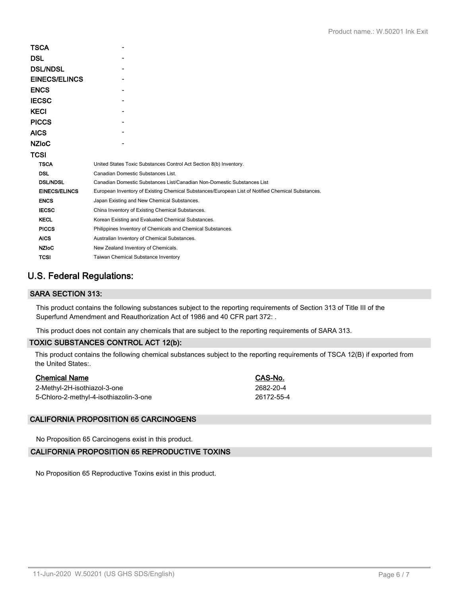| TSCA                 |                                                                                                   |
|----------------------|---------------------------------------------------------------------------------------------------|
| DSL                  |                                                                                                   |
| <b>DSL/NDSL</b>      |                                                                                                   |
| <b>EINECS/ELINCS</b> |                                                                                                   |
| <b>ENCS</b>          |                                                                                                   |
| <b>IECSC</b>         |                                                                                                   |
| KECI                 |                                                                                                   |
| <b>PICCS</b>         |                                                                                                   |
| <b>AICS</b>          |                                                                                                   |
| <b>NZIoC</b>         |                                                                                                   |
| TCSI                 |                                                                                                   |
| <b>TSCA</b>          | United States Toxic Substances Control Act Section 8(b) Inventory.                                |
| <b>DSL</b>           | Canadian Domestic Substances List.                                                                |
| <b>DSL/NDSL</b>      | Canadian Domestic Substances List/Canadian Non-Domestic Substances List                           |
| <b>EINECS/ELINCS</b> | European Inventory of Existing Chemical Substances/European List of Notified Chemical Substances. |
| <b>ENCS</b>          | Japan Existing and New Chemical Substances.                                                       |
| <b>IECSC</b>         | China Inventory of Existing Chemical Substances.                                                  |
| <b>KECL</b>          | Korean Existing and Evaluated Chemical Substances.                                                |
| <b>PICCS</b>         | Philippines Inventory of Chemicals and Chemical Substances.                                       |
| <b>AICS</b>          | Australian Inventory of Chemical Substances.                                                      |
| <b>NZIoC</b>         | New Zealand Inventory of Chemicals.                                                               |
| <b>TCSI</b>          | <b>Taiwan Chemical Substance Inventory</b>                                                        |
|                      |                                                                                                   |

# **U.S. Federal Regulations:**

### **SARA SECTION 313:**

This product contains the following substances subject to the reporting requirements of Section 313 of Title III of the Superfund Amendment and Reauthorization Act of 1986 and 40 CFR part 372: .

This product does not contain any chemicals that are subject to the reporting requirements of SARA 313.

### **TOXIC SUBSTANCES CONTROL ACT 12(b):**

This product contains the following chemical substances subject to the reporting requirements of TSCA 12(B) if exported from the United States:.

| <b>Chemical Name</b>                   | CAS-No.    |
|----------------------------------------|------------|
| 2-Methyl-2H-isothiazol-3-one           | 2682-20-4  |
| 5-Chloro-2-methyl-4-isothiazolin-3-one | 26172-55-4 |

### **CALIFORNIA PROPOSITION 65 CARCINOGENS**

No Proposition 65 Carcinogens exist in this product.

### **CALIFORNIA PROPOSITION 65 REPRODUCTIVE TOXINS**

No Proposition 65 Reproductive Toxins exist in this product.